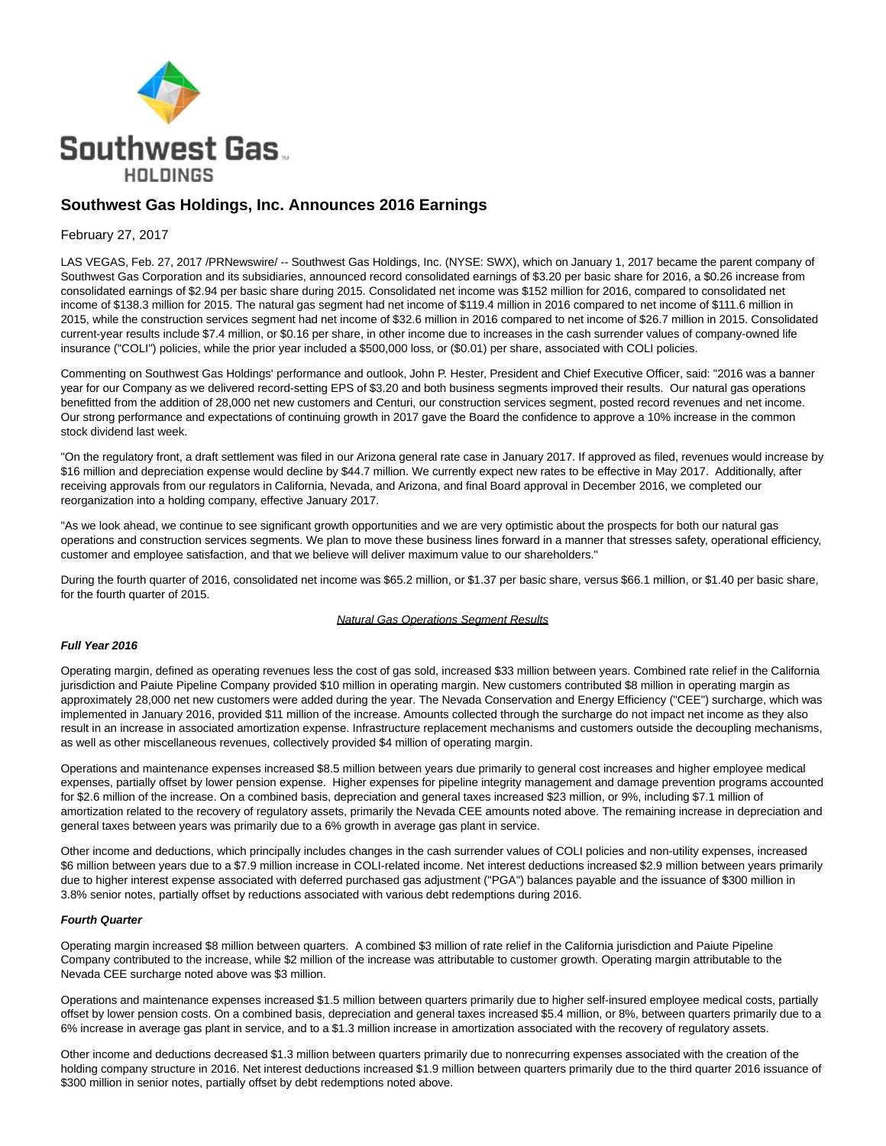

# **Southwest Gas Holdings, Inc. Announces 2016 Earnings**

# February 27, 2017

LAS VEGAS, Feb. 27, 2017 /PRNewswire/ -- Southwest Gas Holdings, Inc. (NYSE: SWX), which on January 1, 2017 became the parent company of Southwest Gas Corporation and its subsidiaries, announced record consolidated earnings of \$3.20 per basic share for 2016, a \$0.26 increase from consolidated earnings of \$2.94 per basic share during 2015. Consolidated net income was \$152 million for 2016, compared to consolidated net income of \$138.3 million for 2015. The natural gas segment had net income of \$119.4 million in 2016 compared to net income of \$111.6 million in 2015, while the construction services segment had net income of \$32.6 million in 2016 compared to net income of \$26.7 million in 2015. Consolidated current-year results include \$7.4 million, or \$0.16 per share, in other income due to increases in the cash surrender values of company-owned life insurance ("COLI") policies, while the prior year included a \$500,000 loss, or (\$0.01) per share, associated with COLI policies.

Commenting on Southwest Gas Holdings' performance and outlook, John P. Hester, President and Chief Executive Officer, said: "2016 was a banner year for our Company as we delivered record-setting EPS of \$3.20 and both business segments improved their results. Our natural gas operations benefitted from the addition of 28,000 net new customers and Centuri, our construction services segment, posted record revenues and net income. Our strong performance and expectations of continuing growth in 2017 gave the Board the confidence to approve a 10% increase in the common stock dividend last week.

"On the regulatory front, a draft settlement was filed in our Arizona general rate case in January 2017. If approved as filed, revenues would increase by \$16 million and depreciation expense would decline by \$44.7 million. We currently expect new rates to be effective in May 2017. Additionally, after receiving approvals from our regulators in California, Nevada, and Arizona, and final Board approval in December 2016, we completed our reorganization into a holding company, effective January 2017.

"As we look ahead, we continue to see significant growth opportunities and we are very optimistic about the prospects for both our natural gas operations and construction services segments. We plan to move these business lines forward in a manner that stresses safety, operational efficiency, customer and employee satisfaction, and that we believe will deliver maximum value to our shareholders."

During the fourth quarter of 2016, consolidated net income was \$65.2 million, or \$1.37 per basic share, versus \$66.1 million, or \$1.40 per basic share, for the fourth quarter of 2015.

#### Natural Gas Operations Segment Results

## **Full Year 2016**

Operating margin, defined as operating revenues less the cost of gas sold, increased \$33 million between years. Combined rate relief in the California jurisdiction and Paiute Pipeline Company provided \$10 million in operating margin. New customers contributed \$8 million in operating margin as approximately 28,000 net new customers were added during the year. The Nevada Conservation and Energy Efficiency ("CEE") surcharge, which was implemented in January 2016, provided \$11 million of the increase. Amounts collected through the surcharge do not impact net income as they also result in an increase in associated amortization expense. Infrastructure replacement mechanisms and customers outside the decoupling mechanisms, as well as other miscellaneous revenues, collectively provided \$4 million of operating margin.

Operations and maintenance expenses increased \$8.5 million between years due primarily to general cost increases and higher employee medical expenses, partially offset by lower pension expense. Higher expenses for pipeline integrity management and damage prevention programs accounted for \$2.6 million of the increase. On a combined basis, depreciation and general taxes increased \$23 million, or 9%, including \$7.1 million of amortization related to the recovery of regulatory assets, primarily the Nevada CEE amounts noted above. The remaining increase in depreciation and general taxes between years was primarily due to a 6% growth in average gas plant in service.

Other income and deductions, which principally includes changes in the cash surrender values of COLI policies and non-utility expenses, increased \$6 million between years due to a \$7.9 million increase in COLI-related income. Net interest deductions increased \$2.9 million between years primarily due to higher interest expense associated with deferred purchased gas adjustment ("PGA") balances payable and the issuance of \$300 million in 3.8% senior notes, partially offset by reductions associated with various debt redemptions during 2016.

#### **Fourth Quarter**

Operating margin increased \$8 million between quarters. A combined \$3 million of rate relief in the California jurisdiction and Paiute Pipeline Company contributed to the increase, while \$2 million of the increase was attributable to customer growth. Operating margin attributable to the Nevada CEE surcharge noted above was \$3 million.

Operations and maintenance expenses increased \$1.5 million between quarters primarily due to higher self-insured employee medical costs, partially offset by lower pension costs. On a combined basis, depreciation and general taxes increased \$5.4 million, or 8%, between quarters primarily due to a 6% increase in average gas plant in service, and to a \$1.3 million increase in amortization associated with the recovery of regulatory assets.

Other income and deductions decreased \$1.3 million between quarters primarily due to nonrecurring expenses associated with the creation of the holding company structure in 2016. Net interest deductions increased \$1.9 million between quarters primarily due to the third quarter 2016 issuance of \$300 million in senior notes, partially offset by debt redemptions noted above.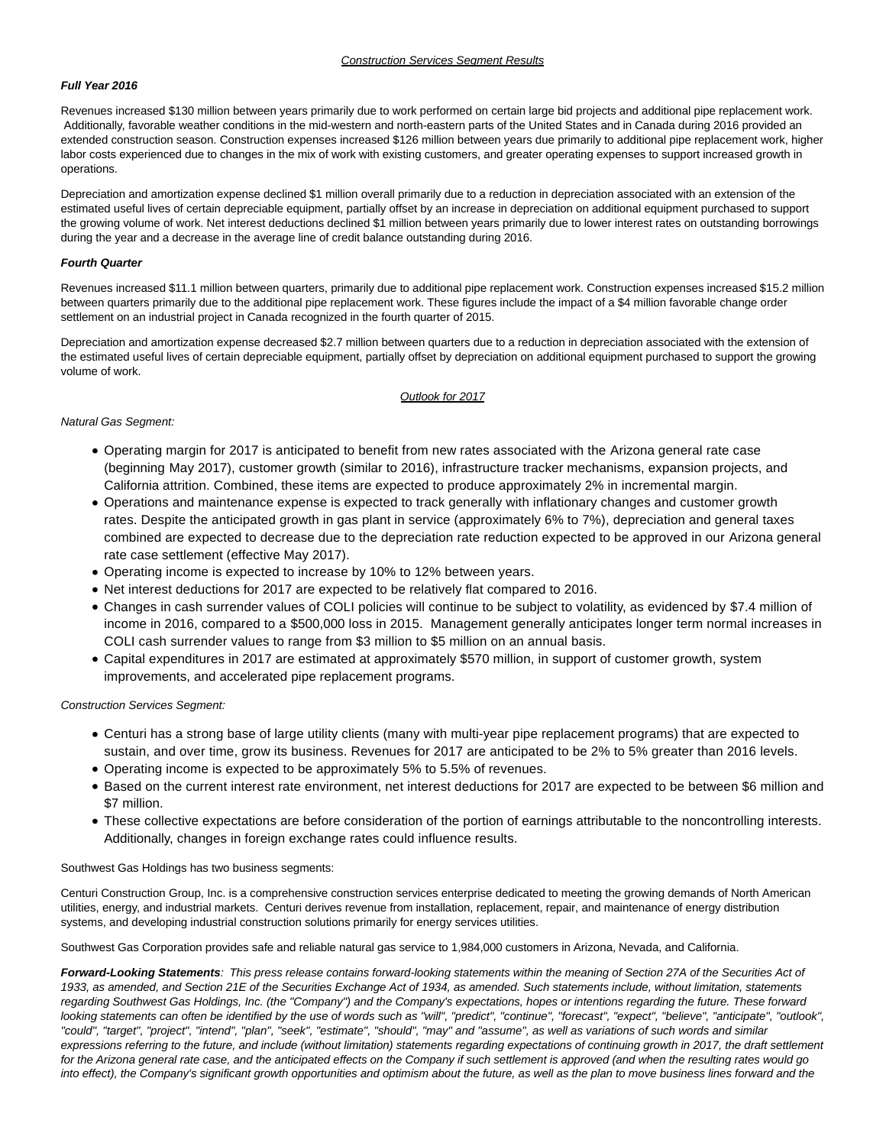# **Full Year 2016**

Revenues increased \$130 million between years primarily due to work performed on certain large bid projects and additional pipe replacement work. Additionally, favorable weather conditions in the mid-western and north-eastern parts of the United States and in Canada during 2016 provided an extended construction season. Construction expenses increased \$126 million between years due primarily to additional pipe replacement work, higher labor costs experienced due to changes in the mix of work with existing customers, and greater operating expenses to support increased growth in operations.

Depreciation and amortization expense declined \$1 million overall primarily due to a reduction in depreciation associated with an extension of the estimated useful lives of certain depreciable equipment, partially offset by an increase in depreciation on additional equipment purchased to support the growing volume of work. Net interest deductions declined \$1 million between years primarily due to lower interest rates on outstanding borrowings during the year and a decrease in the average line of credit balance outstanding during 2016.

#### **Fourth Quarter**

Revenues increased \$11.1 million between quarters, primarily due to additional pipe replacement work. Construction expenses increased \$15.2 million between quarters primarily due to the additional pipe replacement work. These figures include the impact of a \$4 million favorable change order settlement on an industrial project in Canada recognized in the fourth quarter of 2015.

Depreciation and amortization expense decreased \$2.7 million between quarters due to a reduction in depreciation associated with the extension of the estimated useful lives of certain depreciable equipment, partially offset by depreciation on additional equipment purchased to support the growing volume of work.

#### Outlook for 2017

#### Natural Gas Segment:

- Operating margin for 2017 is anticipated to benefit from new rates associated with the Arizona general rate case (beginning May 2017), customer growth (similar to 2016), infrastructure tracker mechanisms, expansion projects, and California attrition. Combined, these items are expected to produce approximately 2% in incremental margin.
- Operations and maintenance expense is expected to track generally with inflationary changes and customer growth rates. Despite the anticipated growth in gas plant in service (approximately 6% to 7%), depreciation and general taxes combined are expected to decrease due to the depreciation rate reduction expected to be approved in our Arizona general rate case settlement (effective May 2017).
- Operating income is expected to increase by 10% to 12% between years.
- Net interest deductions for 2017 are expected to be relatively flat compared to 2016.
- Changes in cash surrender values of COLI policies will continue to be subject to volatility, as evidenced by \$7.4 million of income in 2016, compared to a \$500,000 loss in 2015. Management generally anticipates longer term normal increases in COLI cash surrender values to range from \$3 million to \$5 million on an annual basis.
- Capital expenditures in 2017 are estimated at approximately \$570 million, in support of customer growth, system improvements, and accelerated pipe replacement programs.

Construction Services Segment:

- Centuri has a strong base of large utility clients (many with multi-year pipe replacement programs) that are expected to sustain, and over time, grow its business. Revenues for 2017 are anticipated to be 2% to 5% greater than 2016 levels.
- Operating income is expected to be approximately 5% to 5.5% of revenues.
- Based on the current interest rate environment, net interest deductions for 2017 are expected to be between \$6 million and \$7 million.
- These collective expectations are before consideration of the portion of earnings attributable to the noncontrolling interests. Additionally, changes in foreign exchange rates could influence results.

Southwest Gas Holdings has two business segments:

Centuri Construction Group, Inc. is a comprehensive construction services enterprise dedicated to meeting the growing demands of North American utilities, energy, and industrial markets. Centuri derives revenue from installation, replacement, repair, and maintenance of energy distribution systems, and developing industrial construction solutions primarily for energy services utilities.

Southwest Gas Corporation provides safe and reliable natural gas service to 1,984,000 customers in Arizona, Nevada, and California.

**Forward-Looking Statements**: This press release contains forward-looking statements within the meaning of Section 27A of the Securities Act of 1933, as amended, and Section 21E of the Securities Exchange Act of 1934, as amended. Such statements include, without limitation, statements regarding Southwest Gas Holdings, Inc. (the "Company") and the Company's expectations, hopes or intentions regarding the future. These forward looking statements can often be identified by the use of words such as "will", "predict", "continue", "forecast", "expect", "believe", "anticipate", "outlook", "could", "target", "project", "intend", "plan", "seek", "estimate", "should", "may" and "assume", as well as variations of such words and similar expressions referring to the future, and include (without limitation) statements regarding expectations of continuing growth in 2017, the draft settlement for the Arizona general rate case, and the anticipated effects on the Company if such settlement is approved (and when the resulting rates would go into effect), the Company's significant growth opportunities and optimism about the future, as well as the plan to move business lines forward and the